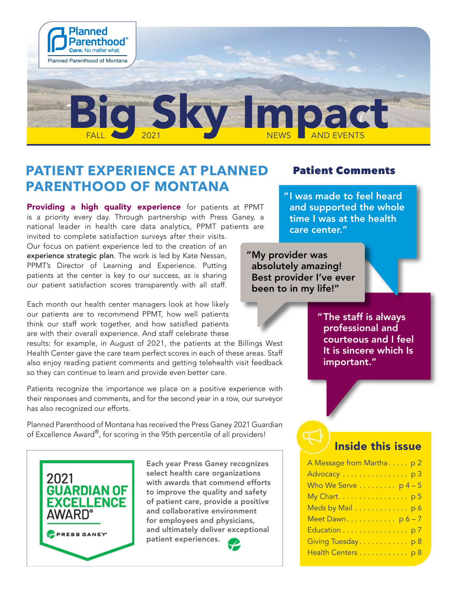

# **PATIENT EXPERIENCE AT PLANNED PARENTHOOD OF MONTANA**

Providing a high quality experience for patients at PPMT is a priority every day. Through partnership with Press Ganey, a national leader in health care data analytics, PPMT patients are invited to complete satisfaction surveys after their visits.

Our focus on patient experience led to the creation of an experience strategic plan. The work is led by Kate Nessan, PPMT's Director of Learning and Experience. Putting patients at the center is key to our success, as is sharing our patient satisfaction scores transparently with all staff.

Each month our health center managers look at how likely our patients are to recommend PPMT, how well patients think our staff work together, and how satisfied patients are with their overall experience. And staff celebrate these

results: for example, in August of 2021, the patients at the Billings West Health Center gave the care team perfect scores in each of these areas. Staff also enjoy reading patient comments and getting telehealth visit feedback so they can continue to learn and provide even better care.

Patients recognize the importance we place on a positive experience with their responses and comments, and for the second year in a row, our surveyor has also recognized our efforts.

Planned Parenthood of Montana has received the Press Ganey 2021 Guardian of Excellence Award®, for scoring in the 95th percentile of all providers!



Each year Press Ganey recognizes select health care organizations with awards that commend efforts to improve the quality and safety of patient care, provide a positive and collaborative environment for employees and physicians, and ultimately deliver exceptional patient experiences.



#### Patient Comments

"I was made to feel heard and supported the whole time I was at the health care center."

"My provider was absolutely amazing! Best provider I've ever been to in my life!"

> "The staff is always professional and courteous and I feel It is sincere which Is important."

#### Inside this issue

| A Message from Martha p 2       |
|---------------------------------|
|                                 |
| Who We Serve $\dots \dots p4-5$ |
| My Chart. p 5                   |
| Meds by Mail p 6                |
| Meet Dawn p6-7                  |
| Education p 7                   |
| Giving Tuesday. p 8             |
| Health Centers p 8              |
|                                 |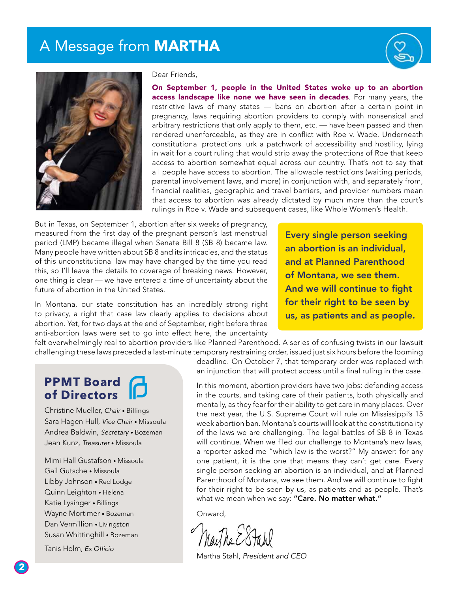# A Message from **MARTHA**





#### Dear Friends,

On September 1, people in the United States woke up to an abortion access landscape like none we have seen in decades. For many years, the restrictive laws of many states — bans on abortion after a certain point in pregnancy, laws requiring abortion providers to comply with nonsensical and arbitrary restrictions that only apply to them, etc. — have been passed and then rendered unenforceable, as they are in conflict with Roe v. Wade. Underneath constitutional protections lurk a patchwork of accessibility and hostility, lying in wait for a court ruling that would strip away the protections of Roe that keep access to abortion somewhat equal across our country. That's not to say that all people have access to abortion. The allowable restrictions (waiting periods, parental involvement laws, and more) in conjunction with, and separately from, financial realities, geographic and travel barriers, and provider numbers mean that access to abortion was already dictated by much more than the court's rulings in Roe v. Wade and subsequent cases, like Whole Women's Health.

But in Texas, on September 1, abortion after six weeks of pregnancy, measured from the first day of the pregnant person's last menstrual period (LMP) became illegal when Senate Bill 8 (SB 8) became law. Many people have written about SB 8 and its intricacies, and the status of this unconstitutional law may have changed by the time you read this, so I'll leave the details to coverage of breaking news. However, one thing is clear — we have entered a time of uncertainty about the future of abortion in the United States.

In Montana, our state constitution has an incredibly strong right to privacy, a right that case law clearly applies to decisions about abortion. Yet, for two days at the end of September, right before three anti-abortion laws were set to go into effect here, the uncertainty

Every single person seeking an abortion is an individual, and at Planned Parenthood of Montana, we see them. And we will continue to fight for their right to be seen by us, as patients and as people.

felt overwhelmingly real to abortion providers like Planned Parenthood. A series of confusing twists in our lawsuit challenging these laws preceded a last-minute temporary restraining order, issued just six hours before the looming

#### **PPMT Board of Directors**

Christine Mueller, *Chair* • Billings Sara Hagen Hull, *Vice Chair* • Missoula Andrea Baldwin, *Secretary* • Bozeman Jean Kunz, *Treasurer* • Missoula

Mimi Hall Gustafson • Missoula Gail Gutsche • Missoula Libby Johnson • Red Lodge Quinn Leighton • Helena Katie Lysinger • Billings Wayne Mortimer • Bozeman Dan Vermillion • Livingston Susan Whittinghill • Bozeman

Tanis Holm, Ex Officio

deadline. On October 7, that temporary order was replaced with an injunction that will protect access until a final ruling in the case.

In this moment, abortion providers have two jobs: defending access in the courts, and taking care of their patients, both physically and mentally, as they fear for their ability to get care in many places. Over the next year, the U.S. Supreme Court will rule on Mississippi's 15 week abortion ban. Montana's courts will look at the constitutionality of the laws we are challenging. The legal battles of SB 8 in Texas will continue. When we filed our challenge to Montana's new laws, a reporter asked me "which law is the worst?" My answer: for any one patient, it is the one that means they can't get care. Every single person seeking an abortion is an individual, and at Planned Parenthood of Montana, we see them. And we will continue to fight for their right to be seen by us, as patients and as people. That's what we mean when we say: "Care. No matter what."

Onward,

Martha Stahl, *President and CEO*

**2**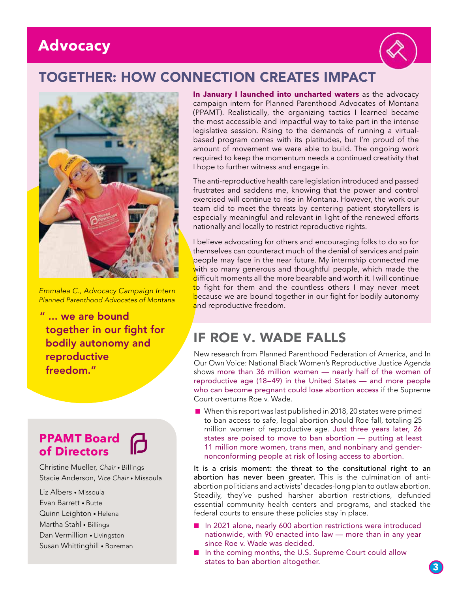# **Advocacy**



# TOGETHER: HOW CONNECTION CREATES IMPACT



*Emmalea C., Advocacy Campaign Intern Planned Parenthood Advocates of Montana*

" ... we are bound together in our fight for bodily autonomy and reproductive freedom."

### **PPAMT Board of Directors**

Christine Mueller, *Chair* • Billings Stacie Anderson, *Vice Chair* • Missoula

Liz Albers • Missoula Evan Barrett • Butte Quinn Leighton • Helena Martha Stahl • Billings Dan Vermillion • Livingston Susan Whittinghill • Bozeman **In January I launched into uncharted waters** as the advocacy campaign intern for Planned Parenthood Advocates of Montana (PPAMT). Realistically, the organizing tactics I learned became the most accessible and impactful way to take part in the intense legislative session. Rising to the demands of running a virtualbased program comes with its platitudes, but I'm proud of the amount of movement we were able to build. The ongoing work required to keep the momentum needs a continued creativity that I hope to further witness and engage in.

The anti-reproductive health care legislation introduced and passed frustrates and saddens me, knowing that the power and control exercised will continue to rise in Montana. However, the work our team did to meet the threats by centering patient storytellers is especially meaningful and relevant in light of the renewed efforts nationally and locally to restrict reproductive rights.

I believe advocating for others and encouraging folks to do so for themselves can counteract much of the denial of services and pain people may face in the near future. My internship connected me with so many generous and thoughtful people, which made the difficult moments all the more bearable and worth it. I will continue to fight for them and the countless others I may never meet because we are bound together in our fight for bodily autonomy and reproductive freedom.

# IF ROE V. WADE FALLS

New research from Planned Parenthood Federation of America, and In Our Own Voice: National Black Women's Reproductive Justice Agenda shows more than 36 million women — nearly half of the women of reproductive age (18–49) in the United States — and more people who can become pregnant could lose abortion access if the Supreme Court overturns Roe v. Wade.

 $\blacksquare$  When this report was last published in 2018, 20 states were primed to ban access to safe, legal abortion should Roe fall, totaling 25 million women of reproductive age. Just three years later, 26 states are poised to move to ban abortion — putting at least 11 million more women, trans men, and nonbinary and gendernonconforming people at risk of losing access to abortion.

It is a crisis moment: the threat to the consitutional right to an abortion has never been greater. This is the culmination of antiabortion politicians and activists' decades-long plan to outlaw abortion. Steadily, they've pushed harsher abortion restrictions, defunded essential community health centers and programs, and stacked the federal courts to ensure these policies stay in place.

- n 2021 alone, nearly 600 abortion restrictions were introduced nationwide, with 90 enacted into law — more than in any year since Roe v. Wade was decided.
- n In the coming months, the U.S. Supreme Court could allow states to ban abortion altogether.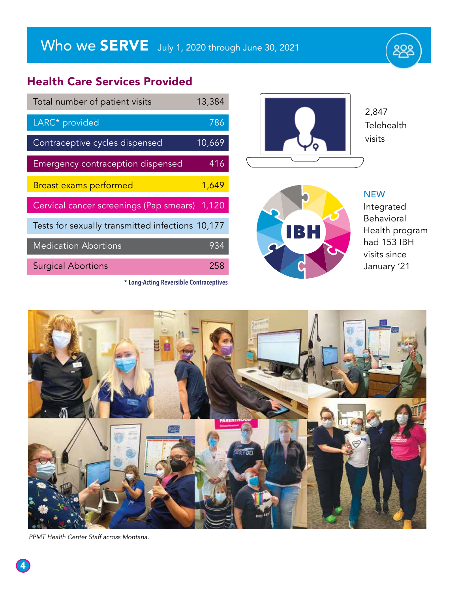#### Health Care Services Provided

| Total number of patient visits                   | 13,384 |
|--------------------------------------------------|--------|
| LARC* provided                                   | 786    |
| Contraceptive cycles dispensed                   | 10,669 |
| Emergency contraception dispensed                | 416    |
| <b>Breast exams performed</b>                    | 1,649  |
| Cervical cancer screenings (Pap smears) 1,120    |        |
| Tests for sexually transmitted infections 10,177 |        |
| <b>Medication Abortions</b>                      | 934    |
| <b>Surgical Abortions</b>                        | 258    |

**\* Long-Acting Reversible Contraceptives**





**NEW** Integrated Behavioral Health program had 153 IBH visits since January '21

88g



PPMT Health Center Staff across Montana.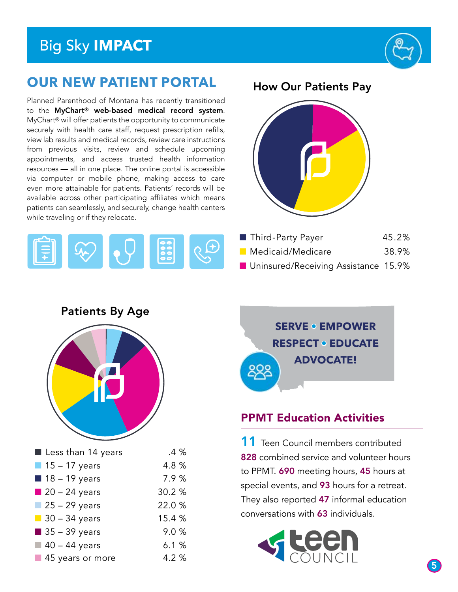# Big Sky **IMPACT**



# **OUR NEW PATIENT PORTAL**

Planned Parenthood of Montana has recently transitioned to the MyChart® web-based medical record system. MyChart® will offer patients the opportunity to communicate securely with health care staff, request prescription refills, view lab results and medical records, review care instructions from previous visits, review and schedule upcoming appointments, and access trusted health information resources — all in one place. The online portal is accessible via computer or mobile phone, making access to care even more attainable for patients. Patients' records will be available across other participating affiliates which means patients can seamlessly, and securely, change health centers while traveling or if they relocate.



#### **How Our Patients Pay**



| Third-Party Payer        |  |                   | 45.2%                       |
|--------------------------|--|-------------------|-----------------------------|
| <b>Medicaid/Medicare</b> |  |                   | 38.9%                       |
|                          |  | $\cdots$ $\cdots$ | $\lambda$ $\Gamma$ $\Omega$ |

■ Uninsured/Receiving Assistance 15.9%

Patients By Age



| $\blacksquare$ Less than 14 years | .4%    |
|-----------------------------------|--------|
| $\blacksquare$ 15 - 17 years      | 4.8%   |
| $18 - 19$ years                   | 7.9%   |
| $20 - 24$ years                   | 30.2 % |
| $25 - 29$ years                   | 22.0 % |
| $\blacksquare$ 30 - 34 years      | 15.4 % |
| $\blacksquare$ 35 - 39 years      | 9.0%   |
| $\blacksquare$ 40 - 44 years      | 6.1%   |
| 45 years or more                  | 4.2%   |



#### PPMT Education Activities

11 Teen Council members contributed 828 combined service and volunteer hours to PPMT. 690 meeting hours, 45 hours at special events, and 93 hours for a retreat. They also reported 47 informal education conversations with 63 individuals.

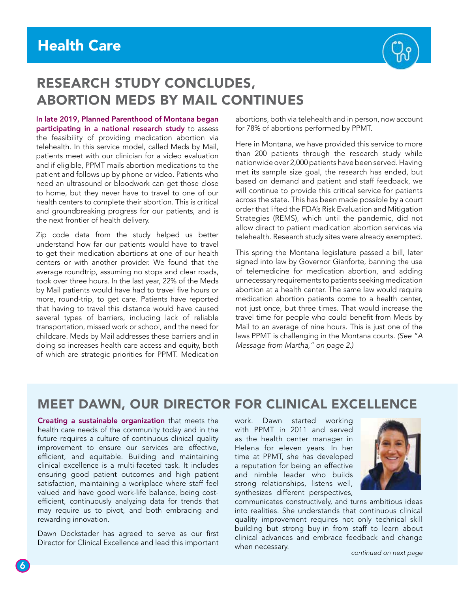

# RESEARCH STUDY CONCLUDES, ABORTION MEDS BY MAIL CONTINUES

In late 2019, Planned Parenthood of Montana began participating in a national research study to assess the feasibility of providing medication abortion via telehealth. In this service model, called Meds by Mail, patients meet with our clinician for a video evaluation and if eligible, PPMT mails abortion medications to the patient and follows up by phone or video. Patients who need an ultrasound or bloodwork can get those close to home, but they never have to travel to one of our health centers to complete their abortion. This is critical and groundbreaking progress for our patients, and is the next frontier of health delivery.

Zip code data from the study helped us better understand how far our patients would have to travel to get their medication abortions at one of our health centers or with another provider. We found that the average roundtrip, assuming no stops and clear roads, took over three hours. In the last year, 22% of the Meds by Mail patients would have had to travel five hours or more, round-trip, to get care. Patients have reported that having to travel this distance would have caused several types of barriers, including lack of reliable transportation, missed work or school, and the need for childcare. Meds by Mail addresses these barriers and in doing so increases health care access and equity, both of which are strategic priorities for PPMT. Medication abortions, both via telehealth and in person, now account for 78% of abortions performed by PPMT.

Here in Montana, we have provided this service to more than 200 patients through the research study while nationwide over 2,000 patients have been served. Having met its sample size goal, the research has ended, but based on demand and patient and staff feedback, we will continue to provide this critical service for patients across the state. This has been made possible by a court order that lifted the FDA's Risk Evaluation and Mitigation Strategies (REMS), which until the pandemic, did not allow direct to patient medication abortion services via telehealth. Research study sites were already exempted.

This spring the Montana legislature passed a bill, later signed into law by Governor Gianforte, banning the use of telemedicine for medication abortion, and adding unnecessary requirements to patients seeking medication abortion at a health center. The same law would require medication abortion patients come to a health center, not just once, but three times. That would increase the travel time for people who could benefit from Meds by Mail to an average of nine hours. This is just one of the laws PPMT is challenging in the Montana courts. *(See "A Message from Martha," on page 2.)* 

## MEET DAWN, OUR DIRECTOR FOR CLINICAL EXCELLENCE

Creating a sustainable organization that meets the health care needs of the community today and in the future requires a culture of continuous clinical quality improvement to ensure our services are effective, efficient, and equitable. Building and maintaining clinical excellence is a multi-faceted task. It includes ensuring good patient outcomes and high patient satisfaction, maintaining a workplace where staff feel valued and have good work-life balance, being costefficient, continuously analyzing data for trends that may require us to pivot, and both embracing and rewarding innovation.

Dawn Dockstader has agreed to serve as our first Director for Clinical Excellence and lead this important work. Dawn started working with PPMT in 2011 and served as the health center manager in Helena for eleven years. In her time at PPMT, she has developed a reputation for being an effective and nimble leader who builds strong relationships, listens well, synthesizes different perspectives,



communicates constructively, and turns ambitious ideas into realities. She understands that continuous clinical quality improvement requires not only technical skill building but strong buy-in from staff to learn about clinical advances and embrace feedback and change when necessary. *continued on next page*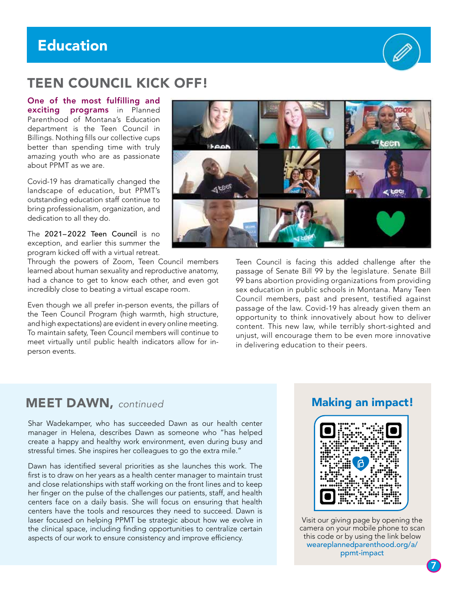# Education



# TEEN COUNCIL KICK OFF!

One of the most fulfilling and exciting programs in Planned Parenthood of Montana's Education department is the Teen Council in Billings. Nothing fills our collective cups better than spending time with truly amazing youth who are as passionate about PPMT as we are.

Covid-19 has dramatically changed the landscape of education, but PPMT's outstanding education staff continue to bring professionalism, organization, and dedication to all they do.

The 2021–2022 Teen Council is no exception, and earlier this summer the program kicked off with a virtual retreat.

Through the powers of Zoom, Teen Council members learned about human sexuality and reproductive anatomy, had a chance to get to know each other, and even got incredibly close to beating a virtual escape room.

Even though we all prefer in-person events, the pillars of the Teen Council Program (high warmth, high structure, and high expectations) are evident in every online meeting. To maintain safety, Teen Council members will continue to meet virtually until public health indicators allow for inperson events.



Teen Council is facing this added challenge after the passage of Senate Bill 99 by the legislature. Senate Bill 99 bans abortion providing organizations from providing sex education in public schools in Montana. Many Teen Council members, past and present, testified against passage of the law. Covid-19 has already given them an opportunity to think innovatively about how to deliver content. This new law, while terribly short-sighted and unjust, will encourage them to be even more innovative in delivering education to their peers.

#### **MEET DAWN, continued**

Shar Wadekamper, who has succeeded Dawn as our health center manager in Helena, describes Dawn as someone who "has helped create a happy and healthy work environment, even during busy and stressful times. She inspires her colleagues to go the extra mile."

Dawn has identified several priorities as she launches this work. The first is to draw on her years as a health center manager to maintain trust and close relationships with staff working on the front lines and to keep her finger on the pulse of the challenges our patients, staff, and health centers face on a daily basis. She will focus on ensuring that health centers have the tools and resources they need to succeed. Dawn is laser focused on helping PPMT be strategic about how we evolve in the clinical space, including finding opportunities to centralize certain aspects of our work to ensure consistency and improve efficiency.

#### Making an impact!



Visit our giving page by opening the camera on your mobile phone to scan this code or by using the link below weareplannedparenthood.org/a/ ppmt-impact